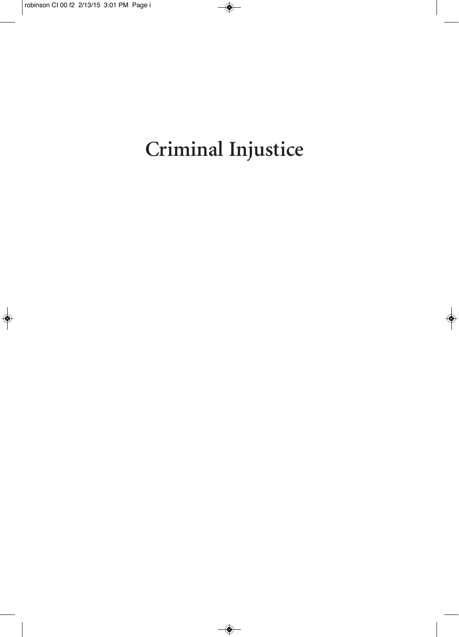# **Criminal Injustice**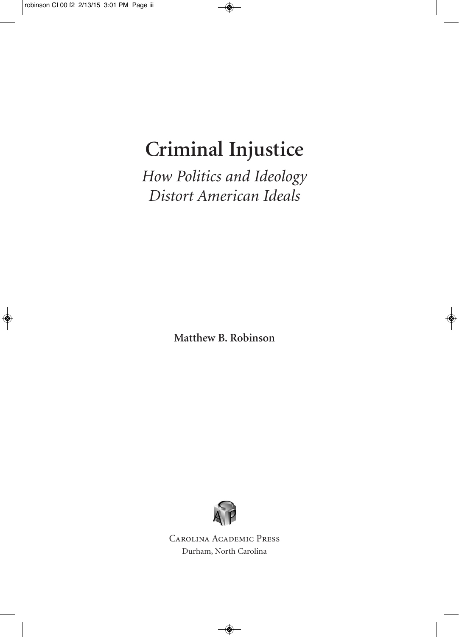## **Criminal Injustice**

*How Politics and Ideology Distort American Ideals*

**Matthew B. Robinson**



Carolina Academic Press

Durham, North Carolina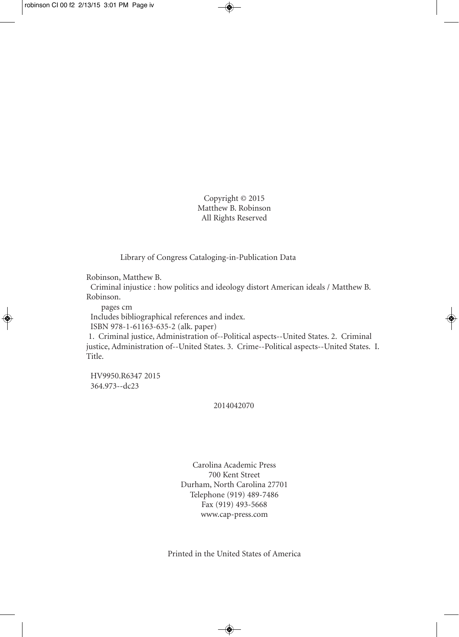Copyright © 2015 Matthew B. Robinson All Rights Reserved

Library of Congress Cataloging-in-Publication Data

Robinson, Matthew B.

Criminal injustice : how politics and ideology distort American ideals / Matthew B. Robinson.

pages cm

Includes bibliographical references and index. ISBN 978-1-61163-635-2 (alk. paper)

1. Criminal justice, Administration of--Political aspects--United States. 2. Criminal justice, Administration of--United States. 3. Crime--Political aspects--United States. I. Title.

HV9950.R6347 2015 364.973--dc23

#### 2014042070

Carolina Academic Press 700 Kent Street Durham, North Carolina 27701 Telephone (919) 489-7486 Fax (919) 493-5668 www.cap-press.com

Printed in the United States of America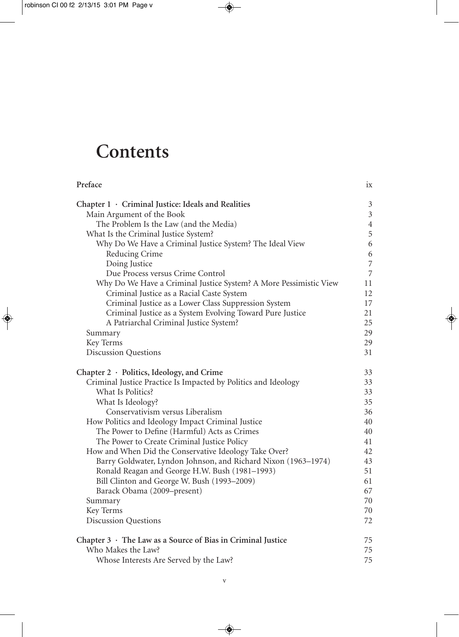## **Contents**

| Preface                                                           | ix             |
|-------------------------------------------------------------------|----------------|
| Chapter $1 \cdot$ Criminal Justice: Ideals and Realities          | $\mathfrak{Z}$ |
| Main Argument of the Book                                         | $\mathfrak{Z}$ |
| The Problem Is the Law (and the Media)                            | $\overline{4}$ |
| What Is the Criminal Justice System?                              | 5              |
| Why Do We Have a Criminal Justice System? The Ideal View          | 6              |
| Reducing Crime                                                    | 6              |
| Doing Justice                                                     | $\overline{7}$ |
| Due Process versus Crime Control                                  | $\overline{7}$ |
| Why Do We Have a Criminal Justice System? A More Pessimistic View | 11             |
| Criminal Justice as a Racial Caste System                         | 12             |
| Criminal Justice as a Lower Class Suppression System              | 17             |
| Criminal Justice as a System Evolving Toward Pure Justice         | 21             |
| A Patriarchal Criminal Justice System?                            | 25             |
| Summary                                                           | 29             |
| Key Terms                                                         | 29             |
| <b>Discussion Questions</b>                                       | 31             |
| Chapter 2 · Politics, Ideology, and Crime                         | 33             |
| Criminal Justice Practice Is Impacted by Politics and Ideology    | 33             |
| What Is Politics?                                                 | 33             |
| What Is Ideology?                                                 | 35             |
| Conservativism versus Liberalism                                  | 36             |
| How Politics and Ideology Impact Criminal Justice                 | 40             |
| The Power to Define (Harmful) Acts as Crimes                      | 40             |
| The Power to Create Criminal Justice Policy                       | 41             |
| How and When Did the Conservative Ideology Take Over?             | 42             |
| Barry Goldwater, Lyndon Johnson, and Richard Nixon (1963-1974)    | 43             |
| Ronald Reagan and George H.W. Bush (1981-1993)                    | 51             |
| Bill Clinton and George W. Bush (1993-2009)                       | 61             |
| Barack Obama (2009–present)                                       | 67             |
| Summary                                                           | 70             |
| Key Terms                                                         | 70             |
| <b>Discussion Questions</b>                                       | 72             |
| Chapter $3 \cdot$ The Law as a Source of Bias in Criminal Justice | 75             |
| Who Makes the Law?                                                | 75             |
| Whose Interests Are Served by the Law?                            | 75             |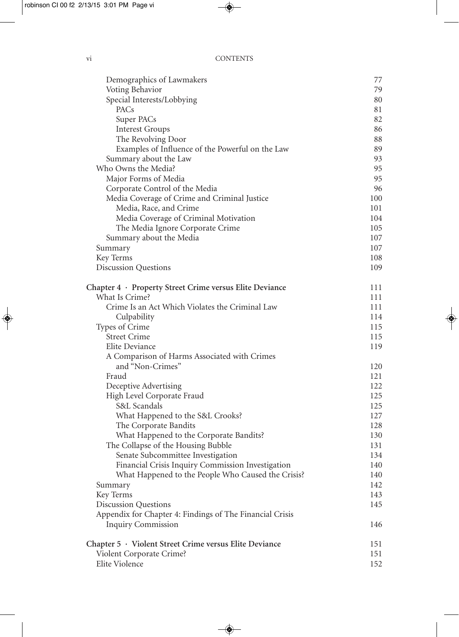| Demographics of Lawmakers                                | 77  |
|----------------------------------------------------------|-----|
| Voting Behavior                                          | 79  |
| Special Interests/Lobbying                               | 80  |
| PACs                                                     | 81  |
| Super PACs                                               | 82  |
| <b>Interest Groups</b>                                   | 86  |
| The Revolving Door                                       | 88  |
| Examples of Influence of the Powerful on the Law         | 89  |
| Summary about the Law                                    | 93  |
| Who Owns the Media?                                      | 95  |
| Major Forms of Media                                     | 95  |
| Corporate Control of the Media                           | 96  |
| Media Coverage of Crime and Criminal Justice             | 100 |
| Media, Race, and Crime                                   | 101 |
| Media Coverage of Criminal Motivation                    | 104 |
| The Media Ignore Corporate Crime                         | 105 |
| Summary about the Media                                  | 107 |
| Summary                                                  | 107 |
| Key Terms                                                | 108 |
| <b>Discussion Questions</b>                              | 109 |
| Chapter 4 · Property Street Crime versus Elite Deviance  | 111 |
| What Is Crime?                                           | 111 |
| Crime Is an Act Which Violates the Criminal Law          | 111 |
| Culpability                                              | 114 |
| Types of Crime                                           | 115 |
| <b>Street Crime</b>                                      | 115 |
| Elite Deviance                                           | 119 |
| A Comparison of Harms Associated with Crimes             |     |
| and "Non-Crimes"                                         | 120 |
| Fraud                                                    | 121 |
| Deceptive Advertising                                    | 122 |
| High Level Corporate Fraud                               | 125 |
| S&L Scandals                                             | 125 |
| What Happened to the S&L Crooks?                         | 127 |
| The Corporate Bandits                                    | 128 |
| What Happened to the Corporate Bandits?                  | 130 |
| The Collapse of the Housing Bubble                       | 131 |
| Senate Subcommittee Investigation                        | 134 |
| Financial Crisis Inquiry Commission Investigation        | 140 |
| What Happened to the People Who Caused the Crisis?       | 140 |
| Summary                                                  | 142 |
| Key Terms                                                | 143 |
| <b>Discussion Questions</b>                              | 145 |
| Appendix for Chapter 4: Findings of The Financial Crisis |     |
| <b>Inquiry Commission</b>                                | 146 |
| Chapter 5 · Violent Street Crime versus Elite Deviance   | 151 |
| Violent Corporate Crime?                                 | 151 |
| Elite Violence                                           | 152 |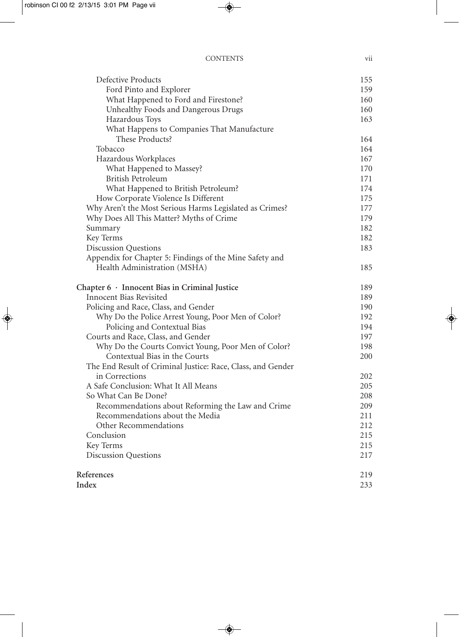| Defective Products                                          | 155 |
|-------------------------------------------------------------|-----|
| Ford Pinto and Explorer                                     | 159 |
| What Happened to Ford and Firestone?                        | 160 |
| Unhealthy Foods and Dangerous Drugs                         | 160 |
| Hazardous Toys                                              | 163 |
| What Happens to Companies That Manufacture                  |     |
| These Products?                                             | 164 |
| Tobacco                                                     | 164 |
| Hazardous Workplaces                                        | 167 |
| What Happened to Massey?                                    | 170 |
| British Petroleum                                           | 171 |
| What Happened to British Petroleum?                         | 174 |
| How Corporate Violence Is Different                         | 175 |
| Why Aren't the Most Serious Harms Legislated as Crimes?     | 177 |
| Why Does All This Matter? Myths of Crime                    | 179 |
| Summary                                                     | 182 |
| Key Terms                                                   | 182 |
| <b>Discussion Questions</b>                                 | 183 |
| Appendix for Chapter 5: Findings of the Mine Safety and     |     |
| Health Administration (MSHA)                                | 185 |
| Chapter $6 \cdot$ Innocent Bias in Criminal Justice         | 189 |
| Innocent Bias Revisited                                     | 189 |
| Policing and Race, Class, and Gender                        | 190 |
| Why Do the Police Arrest Young, Poor Men of Color?          | 192 |
| Policing and Contextual Bias                                | 194 |
| Courts and Race, Class, and Gender                          | 197 |
| Why Do the Courts Convict Young, Poor Men of Color?         | 198 |
| Contextual Bias in the Courts                               | 200 |
| The End Result of Criminal Justice: Race, Class, and Gender |     |
| in Corrections                                              | 202 |
| A Safe Conclusion: What It All Means                        | 205 |
| So What Can Be Done?                                        | 208 |
| Recommendations about Reforming the Law and Crime           | 209 |
| Recommendations about the Media                             | 211 |
| Other Recommendations                                       | 212 |
| Conclusion                                                  | 215 |
| Key Terms                                                   | 215 |
| <b>Discussion Questions</b>                                 | 217 |
| References                                                  | 219 |
| Index                                                       | 233 |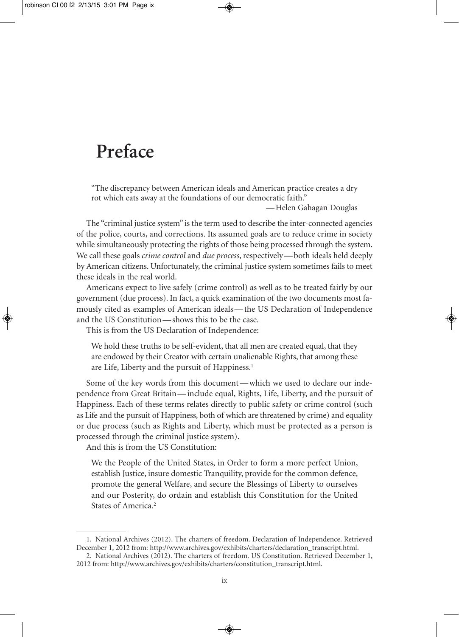### **Preface**

"The discrepancy between American ideals and American practice creates a dry rot which eats away at the foundations of our democratic faith."

—Helen Gahagan Douglas

The "criminal justice system" is the term used to describe the inter-connected agencies of the police, courts, and corrections. Its assumed goals are to reduce crime in society while simultaneously protecting the rights of those being processed through the system. We call these goals *crime control* and *due process*, respectively—both ideals held deeply by American citizens. Unfortunately, the criminal justice system sometimes fails to meet these ideals in the real world.

Americans expect to live safely (crime control) as well as to be treated fairly by our government (due process). In fact, a quick examination of the two documents most famously cited as examples of American ideals—the US Declaration of Independence and the US Constitution—shows this to be the case.

This is from the US Declaration of Independence:

We hold these truths to be self-evident, that all men are created equal, that they are endowed by their Creator with certain unalienable Rights, that among these are Life, Liberty and the pursuit of Happiness. 1

Some of the key words from this document—which we used to declare our independence from Great Britain—include equal, Rights, Life, Liberty, and the pursuit of Happiness. Each of these terms relates directly to public safety or crime control (such as Life and the pursuit of Happiness, both of which are threatened by crime) and equality or due process (such as Rights and Liberty, which must be protected as a person is processed through the criminal justice system).

And this is from the US Constitution:

We the People of the United States, in Order to form a more perfect Union, establish Justice, insure domestic Tranquility, provide for the common defence, promote the general Welfare, and secure the Blessings of Liberty to ourselves and our Posterity, do ordain and establish this Constitution for the United States of America. 2

<sup>1.</sup> National Archives (2012). The charters of freedom. Declaration of Independence. Retrieved December 1, 2012 from: http://www.archives.gov/exhibits/charters/declaration\_transcript.html.

<sup>2.</sup> National Archives (2012). The charters of freedom. US Constitution. Retrieved December 1, 2012 from: http://www.archives.gov/exhibits/charters/constitution\_transcript.html.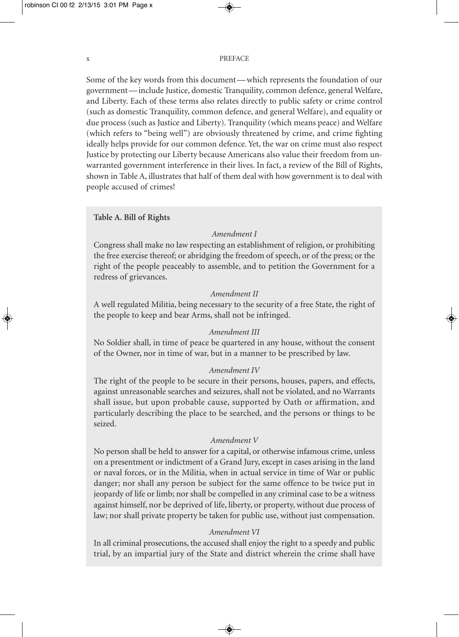#### x PREFACE

Some of the key words from this document—which represents the foundation of our government—include Justice, domestic Tranquility, common defence, general Welfare, and Liberty. Each of these terms also relates directly to public safety or crime control (such as domestic Tranquility, common defence, and general Welfare), and equality or due process (such as Justice and Liberty). Tranquility (which means peace) and Welfare (which refers to "being well") are obviously threatened by crime, and crime fighting ideally helps provide for our common defence. Yet, the war on crime must also respect Justice by protecting our Liberty because Americans also value their freedom from unwarranted government interference in their lives. In fact, a review of the Bill of Rights, shown in Table A, illustrates that half of them deal with how government is to deal with people accused of crimes!

#### **Table A. Bill of Rights**

#### *Amendment I*

Congress shall make no law respecting an establishment of religion, or prohibiting the free exercise thereof; or abridging the freedom of speech, or of the press; or the right of the people peaceably to assemble, and to petition the Government for a redress of grievances.

#### *Amendment II*

A well regulated Militia, being necessary to the security of a free State, the right of the people to keep and bear Arms, shall not be infringed.

#### *Amendment III*

No Soldier shall, in time of peace be quartered in any house, without the consent of the Owner, nor in time of war, but in a manner to be prescribed by law.

#### *Amendment IV*

The right of the people to be secure in their persons, houses, papers, and effects, against unreasonable searches and seizures, shall not be violated, and no Warrants shall issue, but upon probable cause, supported by Oath or affirmation, and particularly describing the place to be searched, and the persons or things to be seized.

#### *Amendment V*

No person shall be held to answer for a capital, or otherwise infamous crime, unless on a presentment or indictment of a Grand Jury, except in cases arising in the land or naval forces, or in the Militia, when in actual service in time of War or public danger; nor shall any person be subject for the same offence to be twice put in jeopardy of life or limb; nor shall be compelled in any criminal case to be a witness against himself, nor be deprived of life, liberty, or property, without due process of law; nor shall private property be taken for public use, without just compensation.

#### *Amendment VI*

In all criminal prosecutions, the accused shall enjoy the right to a speedy and public trial, by an impartial jury of the State and district wherein the crime shall have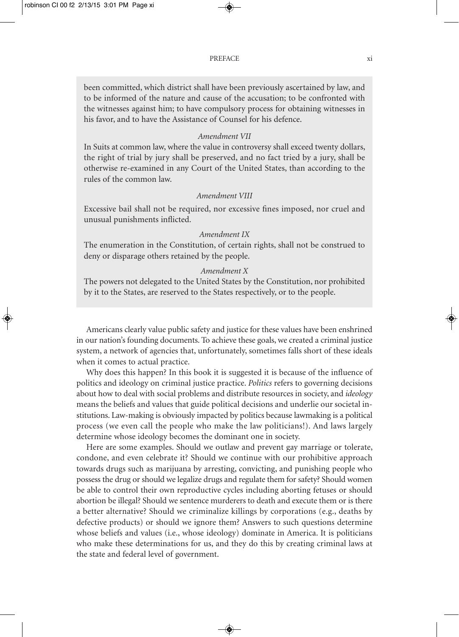been committed, which district shall have been previously ascertained by law, and to be informed of the nature and cause of the accusation; to be confronted with the witnesses against him; to have compulsory process for obtaining witnesses in his favor, and to have the Assistance of Counsel for his defence.

#### *Amendment VII*

In Suits at common law, where the value in controversy shall exceed twenty dollars, the right of trial by jury shall be preserved, and no fact tried by a jury, shall be otherwise re-examined in any Court of the United States, than according to the rules of the common law.

#### *Amendment VIII*

Excessive bail shall not be required, nor excessive fines imposed, nor cruel and unusual punishments inflicted.

#### *Amendment IX*

The enumeration in the Constitution, of certain rights, shall not be construed to deny or disparage others retained by the people.

#### *Amendment X*

The powers not delegated to the United States by the Constitution, nor prohibited by it to the States, are reserved to the States respectively, or to the people.

Americans clearly value public safety and justice for these values have been enshrined in our nation's founding documents. To achieve these goals, we created a criminal justice system, a network of agencies that, unfortunately, sometimes falls short of these ideals when it comes to actual practice.

Why does this happen? In this book it is suggested it is because of the influence of politics and ideology on criminal justice practice. *Politics* refers to governing decisions about how to deal with social problems and distribute resources in society, and *ideology* means the beliefs and values that guide political decisions and underlie our societal institutions. Law-making is obviously impacted by politics because lawmaking is a political process (we even call the people who make the law politicians!). And laws largely determine whose ideology becomes the dominant one in society.

Here are some examples. Should we outlaw and prevent gay marriage or tolerate, condone, and even celebrate it? Should we continue with our prohibitive approach towards drugs such as marijuana by arresting, convicting, and punishing people who possess the drug or should we legalize drugs and regulate them for safety? Should women be able to control their own reproductive cycles including aborting fetuses or should abortion be illegal? Should we sentence murderers to death and execute them or is there a better alternative? Should we criminalize killings by corporations (e.g., deaths by defective products) or should we ignore them? Answers to such questions determine whose beliefs and values (i.e., whose ideology) dominate in America. It is politicians who make these determinations for us, and they do this by creating criminal laws at the state and federal level of government.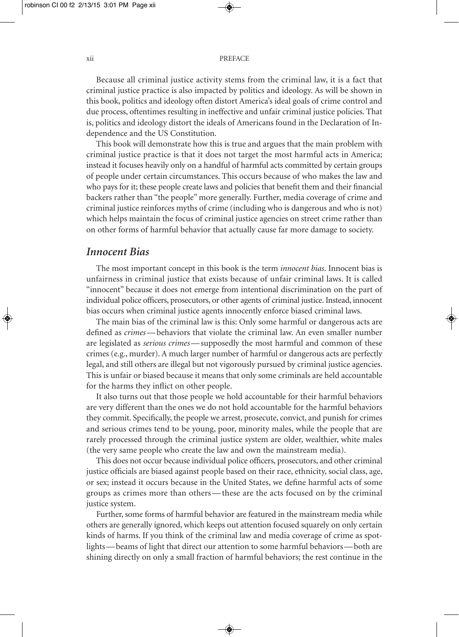#### xii PREFACE

Because all criminal justice activity stems from the criminal law, it is a fact that criminal justice practice is also impacted by politics and ideology. As will be shown in this book, politics and ideology often distort America's ideal goals of crime control and due process, oftentimes resulting in ineffective and unfair criminal justice policies. That is, politics and ideology distort the ideals of Americans found in the Declaration of Independence and the US Constitution.

This book will demonstrate how this is true and argues that the main problem with criminal justice practice is that it does not target the most harmful acts in America; instead it focuses heavily only on a handful of harmful acts committed by certain groups of people under certain circumstances. This occurs because of who makes the law and who pays for it; these people create laws and policies that benefit them and their financial backers rather than "the people" more generally. Further, media coverage of crime and criminal justice reinforces myths of crime (including who is dangerous and who is not) which helps maintain the focus of criminal justice agencies on street crime rather than on other forms of harmful behavior that actually cause far more damage to society.

#### *Innocent Bias*

The most important concept in this book is the term *innocent bias*. Innocent bias is unfairness in criminal justice that exists because of unfair criminal laws. It is called "innocent" because it does not emerge from intentional discrimination on the part of individual police officers, prosecutors, or other agents of criminal justice.Instead, innocent bias occurs when criminal justice agents innocently enforce biased criminal laws.

The main bias of the criminal law is this: Only some harmful or dangerous acts are defined as *crimes*—behaviors that violate the criminal law. An even smaller number are legislated as *serious crimes*—supposedly the most harmful and common of these crimes (e.g., murder). A much larger number of harmful or dangerous acts are perfectly legal, and still others are illegal but not vigorously pursued by criminal justice agencies. This is unfair or biased because it means that only some criminals are held accountable for the harms they inflict on other people.

It also turns out that those people we hold accountable for their harmful behaviors are very different than the ones we do not hold accountable for the harmful behaviors they commit. Specifically, the people we arrest, prosecute, convict, and punish for crimes and serious crimes tend to be young, poor, minority males, while the people that are rarely processed through the criminal justice system are older, wealthier, white males (the very same people who create the law and own the mainstream media).

This does not occur because individual police officers, prosecutors, and other criminal justice officials are biased against people based on their race, ethnicity, social class, age, or sex; instead it occurs because in the United States, we define harmful acts of some groups as crimes more than others—these are the acts focused on by the criminal justice system.

Further, some forms of harmful behavior are featured in the mainstream media while others are generally ignored, which keeps out attention focused squarely on only certain kinds of harms. If you think of the criminal law and media coverage of crime as spotlights—beams of light that direct our attention to some harmful behaviors—both are shining directly on only a small fraction of harmful behaviors; the rest continue in the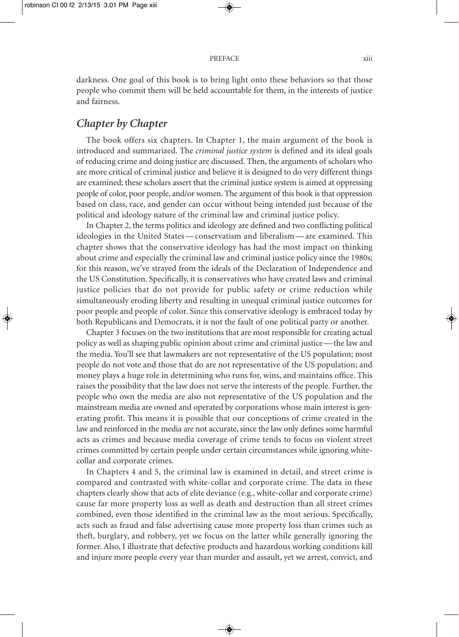darkness. One goal of this book is to bring light onto these behaviors so that those people who commit them will be held accountable for them, in the interests of justice and fairness.

#### *Chapter by Chapter*

The book offers six chapters. In Chapter 1, the main argument of the book is introduced and summarized. The *criminal justice system* is defined and its ideal goals of reducing crime and doing justice are discussed. Then, the arguments of scholars who are more critical of criminal justice and believe it is designed to do very different things are examined; these scholars assert that the criminal justice system is aimed at oppressing people of color, poor people, and/or women. The argument of this book is that oppression based on class, race, and gender can occur without being intended just because of the political and ideology nature of the criminal law and criminal justice policy.

In Chapter 2, the terms politics and ideology are defined and two conflicting political ideologies in the United States—conservatism and liberalism—are examined. This chapter shows that the conservative ideology has had the most impact on thinking about crime and especially the criminal law and criminal justice policy since the 1980s; for this reason, we've strayed from the ideals of the Declaration of Independence and the US Constitution. Specifically, it is conservatives who have created laws and criminal justice policies that do not provide for public safety or crime reduction while simultaneously eroding liberty and resulting in unequal criminal justice outcomes for poor people and people of color. Since this conservative ideology is embraced today by both Republicans and Democrats, it is not the fault of one political party or another.

Chapter 3 focuses on the two institutions that are most responsible for creating actual policy as well as shaping public opinion about crime and criminal justice—the law and the media. You'll see that lawmakers are not representative of the US population; most people do not vote and those that do are not representative of the US population; and money plays a huge role in determining who runs for, wins, and maintains office. This raises the possibility that the law does not serve the interests of the people. Further, the people who own the media are also not representative of the US population and the mainstream media are owned and operated by corporations whose main interest is generating profit. This means it is possible that our conceptions of crime created in the law and reinforced in the media are not accurate, since the law only defines some harmful acts as crimes and because media coverage of crime tends to focus on violent street crimes committed by certain people under certain circumstances while ignoring whitecollar and corporate crimes.

In Chapters 4 and 5, the criminal law is examined in detail, and street crime is compared and contrasted with white-collar and corporate crime. The data in these chapters clearly show that acts of elite deviance (e.g., white-collar and corporate crime) cause far more property loss as well as death and destruction than all street crimes combined, even those identified in the criminal law as the most serious. Specifically, acts such as fraud and false advertising cause more property loss than crimes such as theft, burglary, and robbery, yet we focus on the latter while generally ignoring the former. Also, I illustrate that defective products and hazardous working conditions kill and injure more people every year than murder and assault, yet we arrest, convict, and